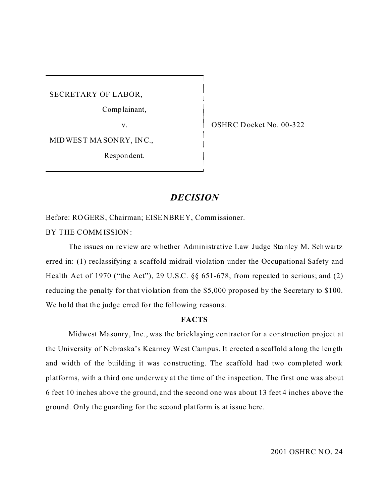SECRETARY OF LABOR,

Comp lainant,

v.

OSHRC Docket No. 00-322

MID WES TMA SONRY, INC.,

Respon dent.

# *DECISION*

Before: ROGERS, Chairman; EISENBREY, Commissioner.

BY THE COMM ISSION:

The issues on review are whether Administrative Law Judge Stanley M. Schwartz erred in: (1) reclassifying a scaffold midrail violation under the Occupational Safety and Health Act of 1970 ("the Act"), 29 U.S.C. §§ 651-678, from repeated to serious; and (2) reducing the penalty for that violation from the \$5,000 proposed by the Secretary to \$100. We hold that the judge erred for the following reasons.

## **FACTS**

Midwest Masonry, Inc., was the bricklaying contractor for a construction project at the University of Nebraska's Kearney West Campus. It erected a scaffold a long the length and width of the building it was constructing. The scaffold had two completed work platforms, with a third one underway at the time of the inspection. The first one was about 6 feet 10 inches above the ground, and the second one was about 13 feet 4 inches above the ground. Only the guarding for the second platform is at issue here.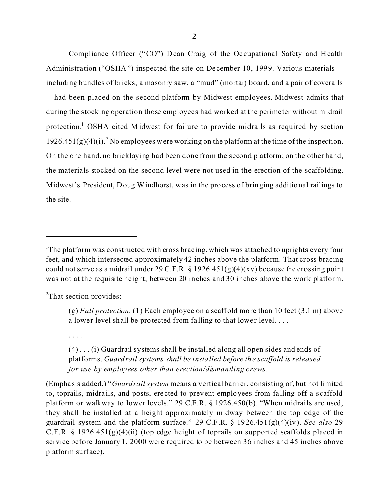-- had been placed on the second platform by Midwest employees. Midwest admits that Compliance Officer ("CO") Dean Craig of the Occupational Safety and Health Administration ("OSHA") inspected the site on De cember 10, 1999. Various materials - including bundles of bricks, a masonry saw, a "mud" (mortar) board, and a pair of coveralls during the stocking operation those employees had worked at the perime ter without midrail protection.<sup>1</sup> OSHA cited Midwest for failure to provide midrails as required by section  $1926.451(g)(4)(i)$ .<sup>2</sup> No employees were working on the platform at the time of the inspection. On the one hand, no bricklaying had been done from the second platform; on the other hand, the materials stocked on the second level were not used in the erection of the scaffolding. Midwest's President, Doug Windhorst, was in the process of bringing additional railings to the site.

<sup>2</sup>That section provides:

. . . .

<sup>&</sup>lt;sup>1</sup>The platform was constructed with cross bracing, which was attached to uprights every four feet, and which intersected approximately 42 inches above the platform. That cross bracing could not serve as a midrail under 29 C.F.R.  $\S$  1926.451(g)(4)(xv) because the crossing point was not at the requisite height, between 20 inches and 30 inches above the work platform.

<sup>(</sup>g) *Fall protection.* (1) Each employee on a scaffold more than 10 feet (3.1 m) above a lower level shall be protected from falling to that lower level....

 $(4)$ ... $(i)$  Guardrail systems shall be installed along all open sides and ends of platforms. *Guardrail systems shall be installed before the scaffold is released for use by employees other than erection/dismantling crews*.

<sup>(</sup>Empha sis added.) "*Guardrail system* means a vertical barrier, consisting of, but not limited to, toprails, midrails, and posts, erected to prevent employees from falling off a scaffold platform or walkway to lower levels." 29 C.F.R. § 1926.450(b). "When midrails are used, they shall be installed at a height approximately midway between the top edge of the guardrail system and the platform surface." 29 C.F.R. § 1926.451(g)(4)(iv). *See also* 29 C.F.R. § 1926.451(g)(4)(ii) (top edge height of toprails on supported scaffolds placed in service before January 1, 2000 were required to be between 36 inches and 45 inches above platform surface).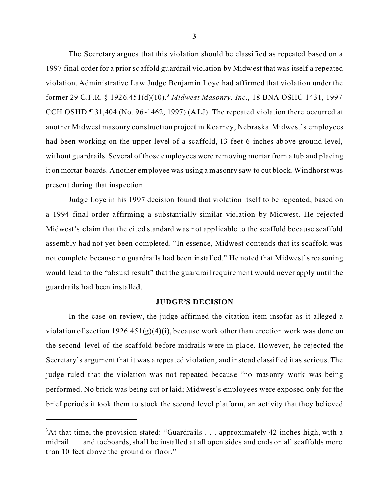The Secretary argues that this violation should be classified as repeated based on a 1997 final order for a prior sc affold guardrail violation by Midwest that was itself a repeated violation. Administrative Law Judge Benjamin Loye had affirmed that violation under the former 29 C.F.R. § 1926.451(d)(10).<sup>3</sup>*Midwest Masonry, Inc.*, 18 BNA OSHC 1431, 1997 CCH OSHD ¶ 31,404 (No. 96-1462, 1997) (ALJ). The repeated violation there occurred at another Midwest masonry construction project in Kearney, Nebraska. Midwest's employees had been working on the upper level of a scaffold, 13 feet 6 inches above ground level, without guardrails. Several of those employees were removing mortar from a tub and placing it on mortar boards. Another employee was using a masonry saw to cut block. Windhorst was present during that inspection.

Judge Loye in his 1997 decision found that violation itself to be repeated, based on a 1994 final order affirming a substantially similar violation by Midwest. He rejected Midwest's claim that the cited standard was not applicable to the sc affold be cause scaffold assembly had not yet been completed. "In essence, Midwest contends that its scaffold was not complete because no guardra ils had been installed." He noted that Midwest's reasoning would lead to the "absurd result" that the guardrail requirement would never apply until the guardrails had been installed.

#### **JUDGE'S DECISION**

In the case on review, the judge affirmed the citation item insofar as it alleged a violation of section  $1926.451(g)(4)(i)$ , because work other than erection work was done on the second level of the scaffold be fore midrails were in pla ce. However, he rejected the Secretary's argument that it was a repeated violation, and instead classified it as serious. The judge ruled that the violation was not repeated because "no masonry work was being performed. No brick was being cut or laid; Midwest's employees were exposed only for the brief periods it took them to stock the second level platform, an activity that they believed

<sup>&</sup>lt;sup>3</sup>At that time, the provision stated: "Guardrails . . . approximately 42 inches high, with a midrail . . . and toeboards, shall be installed at all open sides and ends on all scaffolds more than 10 feet above the ground or floor."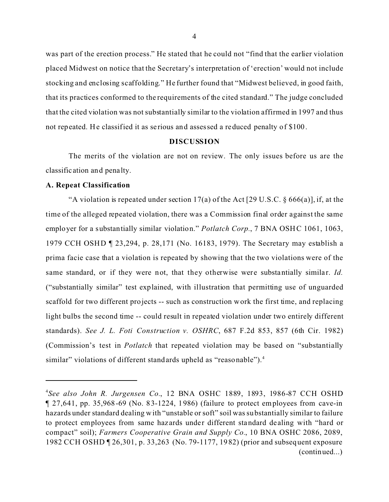was part of the erection process." He stated that he could not "find that the earlier violation placed Midwest on notice that the Secretary's interpretation of 'erection' would not include stocking and enclosing scaffolding." He further found that "Midwest believed, in good faith, that its practices conformed to the requirements of the cited standard." The judge concluded that the cited violation was not substantially similar to the violation affirmed in 1997 and thus not repeated. He classified it as se rious and assessed a reduced penalty of \$100.

## **DISCUSSION**

The merits of the violation are not on review. The only issues before us are the classific ation and pena lty.

#### **A. Repeat Classification**

"A violation is repeated under section 17(a) of the Act [29 U.S.C.  $\S 666(a)$ ], if, at the time of the alleged repeated violation, there was a Commission final order against the same employer for a substantially similar violation." *Potlatch Corp.*, 7 BNA OSHC 1061, 1063, 1979 CCH OSHD ¶ 23,294, p. 28,171 (No. 16183, 1979). The Secretary may establish a prima facie case that a violation is repeated by showing that the two violations were of the same standard, or if they were not, that they otherwise were substantially similar. *Id.* ("substantially similar" test explained, with illustration that permitting use of unguarded scaffold for two different projects -- such as construction work the first time, and replacing light bulbs the second time -- could result in repeated violation under two entirely different standards). *See J. L. Foti Construction v. OSHRC*, 687 F.2d 853, 857 (6th Cir. 1982) (Commission's test in *Potlatch* that repeated violation may be based on "substantially similar" violations of different standards upheld as "reasonable").<sup>4</sup>

<sup>4</sup> *See also John R. Jurgensen Co.*, 12 BNA OSHC 1889, 1893, 1986-87 CCH OSHD ¶ 27,641, pp. 35,968-69 (No. 83-1224, 1986) (failure to protect employees from cave-in hazards under standard dealing with "unstable or soft" soil was substantially similar to failure to protect employees from same hazards under different standard dealing with "hard or compact" soil); *Farmers Cooperative Grain and Supply Co.*, 10 BNA OSHC 2086, 2089, 1982 CCH OSHD ¶ 26,301, p. 33,263 (No. 79-1177, 1982) (prior and subsequent exposure (continued...)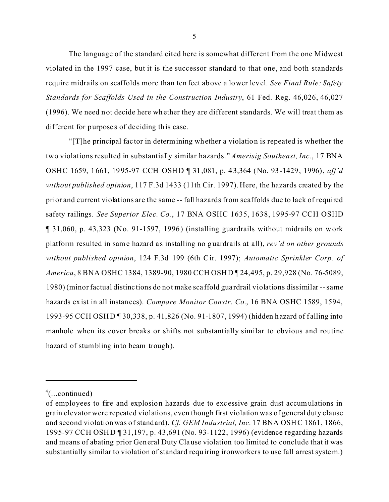The language of the standard cited here is somewhat different from the one Midwest violated in the 1997 case, but it is the successor standard to that one, and both standards require midrails on scaffolds more than ten feet above a lower level. *See Final Rule: Safety Standards for Scaffolds Used in the Construction Industry*, 61 Fed. Reg. 46,026, 46,027 (1996). We need not decide here whether they are different standards. We will treat them as different for purposes of deciding this case.

"[T]he principal fac tor in determining whether a violation is repeated is whether the two violations resulted in substantially similar hazards." *Amerisig Southeast, Inc.*, 17 BNA OSHC 1659, 1661, 1995-97 CCH OSHD ¶ 31,081, p. 43,364 (No. 93-1429, 1996), *aff'd without published opinion*, 117 F.3d 1433 (11th Cir. 1997). Here, the hazards created by the prior and current violations are the same -- fall hazards from scaffolds due to lack of required safety railings. *See Superior Elec. Co.*, 17 BNA OSHC 1635, 1638, 1995-97 CCH OSHD ¶ 31,060, p. 43,323 (No. 91-1597, 1996) (installing guardrails without midrails on work platform resulted in same hazard as installing no guardrails at all), *rev'd on other grounds without published opinion*, 124 F.3d 199 (6th Cir. 1997); *Automatic Sprinkler Corp. of America*, 8 BNA OSHC 1384, 1389-90, 1980 CCH OSHD ¶ 24,495, p. 29,928 (No. 76-5089, 1980) (minor factual distinc tions do not make sca ffold gua rdrail violations dissimilar --same hazards exist in all instances). *Compare Monitor Constr. Co.*, 16 BNA OSHC 1589, 1594, 1993-95 CCH OSHD ¶ 30,338, p. 41,826 (No. 91-1807, 1994) (hidden hazard of f alling into manhole when its cover breaks or shifts not substantially similar to obvious and routine hazard of stumbling into beam trough).

 $4$ (...continued)

of employees to fire and explosion hazards due to exc essive grain dust accumulations in grain elevator were repeated violations, even though first violation was of general duty clause and second violation was of standard). *Cf. GEM Industrial, Inc.* 17 BNA OSHC 1861, 1866, 1995-97 CCH OSHD ¶ 31,197, p. 43,691 (No. 93-1122, 1996) (evidence regarding hazards and means of abating prior General Duty Clause violation too limited to conclude that it was substantially similar to violation of standard requiring ironworkers to use fall arrest system.)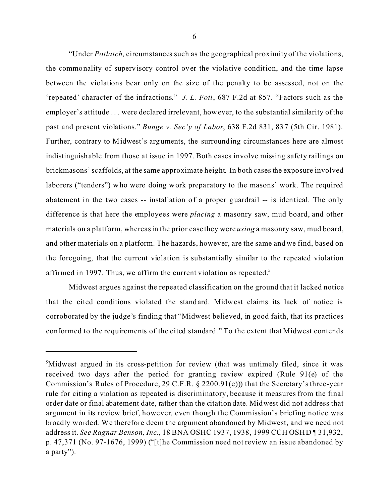"Under *Potlatch*, circumstances such as the geographical proximity of the violations, the commonality of supervisory control over the violative condition, and the time lapse between the violations bear only on the size of the penalty to be assessed, not on the 'repeated' character of the infractions." *J. L. Foti*, 687 F.2d at 857. "Factors such as the employer's attitude . . . were declared irrelevant, how ever, to the substantial similarity of the past and present violations." *Bunge v. Sec'y of Labor*, 638 F.2d 831, 837 (5th Cir. 1981). Further, contrary to Midwest's arguments, the surrounding circumstances here are almost indistinguishable from those at issue in 1997. Both cases involve missing safety railings on brickmasons' scaffolds, at the same approximate height. In both cases the exposure involved laborers ("tenders") who were doing work preparatory to the masons' work. The required abatement in the two cases -- installation of a proper guardrail -- is identical. The only difference is that here the employees were *placing* a masonry saw, mud board, and other materials on a platform, whereas in the prior case they were *using* a masonry saw, mud board, and other materials on a platform. The hazards, however, are the same and we find, based on the foregoing, that the current violation is substantially similar to the repeated violation affirmed in 1997. Thus, we affirm the current violation as repeated.<sup>5</sup>

Midwest argues against the repeated classification on the ground that it lacked notice that the cited conditions violated the standard. Midwest claims its lack of notice is corroborated by the judge's finding that "Midwest believed, in good faith, that its practices conformed to the requirements of the cited standard." To the extent that Midwest contends

<sup>&</sup>lt;sup>5</sup>Midwest argued in its cross-petition for review (that was untimely filed, since it was received two days after the period for granting review expired (Rule 91(e) of the Commission's Rules of Procedure, 29 C.F.R. § 2200.91(e))) that the Secretary's three-year rule for citing a violation as repeated is discriminatory, because it measures from the final order date or final abatement date, rather than the citation date. Midwest did not address that argument in its review brief, however, even though the Commission's briefing notice was broadly worded. We therefore deem the argument abandoned by Midwest, and we need not address it. *See Ragnar Benson, Inc.*, 18 BNA OSHC 1937, 1938, 1999 CCH OSHD ¶ 31,932, p. 47,371 (No. 97-1676, 1999) ("[t]he Commission need not review an issue abandoned by a party").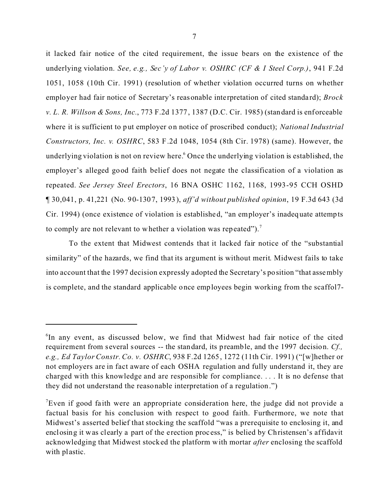it lacked fair notice of the cited requirement, the issue bears on the existence of the underlying violation. *See, e.g., Sec'y of Labor v. OSHRC (CF & I Steel Corp.)*, 941 F.2d 1051, 1058 (10th Cir. 1991) (resolution of whether violation occurred turns on whether employer had fair notice of Secretary's reasonable interpretation of cited standard); *Brock v. L. R. Willson & Sons, Inc.*, 773 F.2d 1377, 1387 (D.C. Cir. 1985) (standard is enforceable where it is sufficient to put employer on notice of proscribed conduct); *National Industrial Constructors, Inc. v. OSHRC*, 583 F.2d 1048, 1054 (8th Cir. 1978) (same). However, the underlying violation is not on review here. <sup>6</sup> Once the underlying violation is established, the employer's alleged good faith belief does not negate the classification of a violation as repeated. *See Jersey Steel Erectors*, 16 BNA OSHC 1162, 1168, 1993-95 CCH OSHD ¶ 30,041, p. 41,221 (No. 90-1307, 1993), *aff'd without published opinion*, 19 F.3d 643 (3d Cir. 1994) (once existence of violation is established, "an employer's inadequate attempts to comply are not relevant to whether a violation was repeated").<sup>7</sup>

To the extent that Midwest contends that it lacked fair notice of the "substantial similarity" of the hazards, we find that its argument is without merit. Midwest fails to take into account that the 1997 decision expressly adopted the Secretary's position "that assembly is complete, and the standard applicable once employees begin working from the scaffol7-

<sup>6</sup> In any event, as discussed below, we find that Midwest had fair notice of the cited requirement from several sources -- the standard, its preamble, and the 1997 decision. *Cf., e.g., Ed Taylor Constr. Co. v. OSHRC*, 938 F.2d 1265, 1272 (11th Cir. 1991) ("[w]hether or not employers are in fact aware of each OSHA regulation and fully understand it, they are charged with this knowledge and are responsible for compliance. . . . It is no defense that they did not understand the reasonable interpretation of a regulation.")

<sup>&</sup>lt;sup>7</sup>Even if good faith were an appropriate consideration here, the judge did not provide a factual basis for his conclusion with respect to good faith. Furthermore, we note that Midwest's asserted belief that stocking the scaffold "was a prerequisite to enclosing it, and enclosing it was clearly a part of the erection proc ess," is belied by Christensen's affidavit acknowledging that Midwest stocked the platform with mortar *after* enclosing the scaffold with plastic.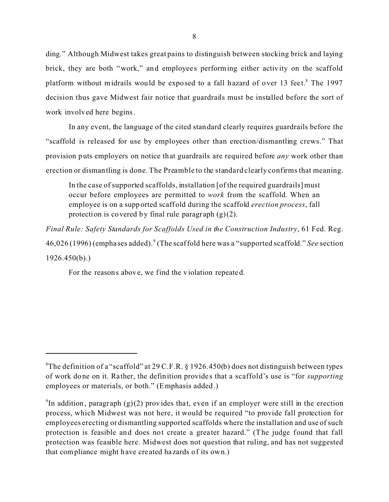ding." Although Midwest takes great pains to distinguish between stocking brick and laying brick, they are both "work," and employees performing either activity on the scaffold platform without midrails would be exposed to a fall hazard of over 13 feet.<sup>8</sup> The 1997 decision thus gave Midwest fair notice that guardrails must be installed before the sort of work involved here begins.

In any event, the language of the cited standard clearly requires guardrails before the "scaffold is released for use by employees other than erection/dismantling crews." That provision puts employers on notice that guardrails are required before *any* work other than erection or dismantling is done. The Preamble to the standard clearly confirms that meaning.

In the case of supported scaffolds, installation [of the required guardrails] must occur before employees are permitted to *work* from the scaffold. When an employee is on a supported scaffold during the scaffold *erection process*, fall protection is covered by final rule paragraph  $(g)(2)$ .

*Final Rule: Safety Standards for Scaffolds Used in the Construction Industry*, 61 Fed. Reg. 46,026 (1996) (emphases added).<sup>9</sup> (The scaffold here was a "supported scaffold." *See* section 1926.450(b).)

For the reasons above, we find the violation repeated.

<sup>&</sup>lt;sup>8</sup>The definition of a "scaffold" at 29 C.F.R. § 1926.450(b) does not distinguish between types of work done on it. Rather, the definition provide s that a scaffold's use is "for *supporting*  employees or materials, or both." (Emphasis added.)

<sup>&</sup>lt;sup>9</sup>In addition, paragraph (g)(2) provides that, even if an employer were still in the erection process, which Midwest was not here, it would be required "to provide fall protection for employees erecting or dismantling supported scaffolds where the installation and use of such protection is feasible and does not create a greater hazard." (The judge found that fall protection was feasible here. Midwest does not question that ruling, and has not suggested that compliance might have created hazards of its own.)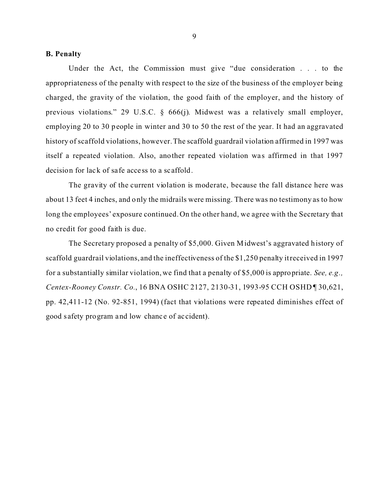## **B. Penalty**

Under the Act, the Commission must give "due consideration . . . to the appropriateness of the penalty with respect to the size of the business of the employer being charged, the gravity of the violation, the good faith of the employer, and the history of previous violations." 29 U.S.C. § 666(j). Midwest was a relatively small employer, employing 20 to 30 people in winter and 30 to 50 the rest of the year. It had an aggravated history of scaffold violations, however. The scaffold guardrail violation affirmed in 1997 was itself a repeated violation. Also, another repeated violation was affirmed in that 1997 decision for lack of safe acce ss to a scaffold.

The gravity of the current violation is moderate, because the fall distance here was about 13 feet 4 inches, and only the midrails were missing. There was no testimony as to how long the employees' exposure continued. On the other hand, we agree with the Secretary that no credit for good faith is due.

The Secretary proposed a penalty of \$5,000. Given Midwest's aggravated history of scaffold guardrail violations, and the ineffectiveness of the \$1,250 penalty it received in 1997 for a substantially similar violation, we find that a penalty of \$5,000 is appropriate. *See, e.g., Centex-Rooney Constr. Co.*, 16 BNA OSHC 2127, 2130-31, 1993-95 CCH OSHD ¶ 30,621, pp. 42,411-12 (No. 92-851, 1994) (fact that violations were repeated diminishes effect of good safety program and low chance of accident).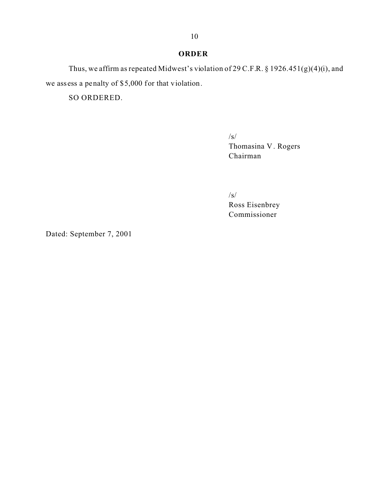## **ORDER**

Thus, we affirm as repeated Midwest's violation of 29 C.F.R. § 1926.451(g)(4)(i), and we assess a penalty of \$5,000 for that violation.

SO ORDERED.

/s/ Thomasina V . Rogers Chairman

/s/ Ross Eisenbrey Commissioner

Dated: September 7, 2001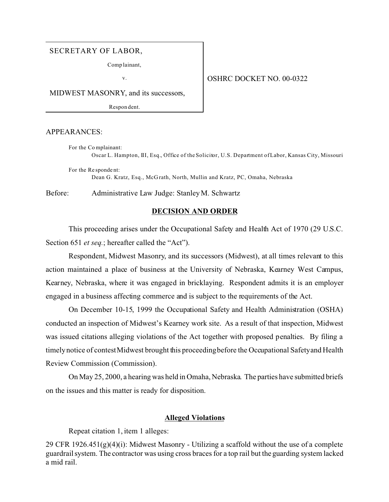## SECRETARY OF LABOR,

Comp lainant,

v.

#### OSHRC DOCKET NO. 00-0322

MIDWEST MASONRY, and its successors,

Respon dent.

#### APPEARANCES:

For the Co mplainant: Oscar L. Hampton, III, Esq., Office of the Solicitor, U.S. Department of Labor, Kansas City, Missouri

For the Re sponde nt: Dean G. Kratz, Esq., McG rath, North, Mullin and Kratz, PC, Omaha, Nebraska

Before: Administrative Law Judge: Stanley M. Schwartz

#### **DECISION AND ORDER**

This proceeding arises under the Occupational Safety and Health Act of 1970 (29 U.S.C. Section 651 *et seq.*; hereafter called the "Act").

Respondent, Midwest Masonry, and its successors (Midwest), at all times relevant to this action maintained a place of business at the University of Nebraska, Kearney West Campus, Kearney, Nebraska, where it was engaged in bricklaying. Respondent admits it is an employer engaged in a business affecting commerce and is subject to the requirements of the Act.

On December 10-15, 1999 the Occupational Safety and Health Administration (OSHA) conducted an inspection of Midwest's Kearney work site. As a result of that inspection, Midwest was issued citations alleging violations of the Act together with proposed penalties. By filing a timely notice of contest Midwest brought this proceeding before the Occupational Safety and Health Review Commission (Commission).

On May 25, 2000, a hearing was held in Omaha, Nebraska. The parties have submitted briefs on the issues and this matter is ready for disposition.

## **Alleged Violations**

Repeat citation 1, item 1 alleges:

29 CFR 1926.451(g)(4)(i): Midwest Masonry - Utilizing a scaffold without the use of a complete guardrail system. The contractor was using cross braces for a top rail but the guarding system lacked a mid rail.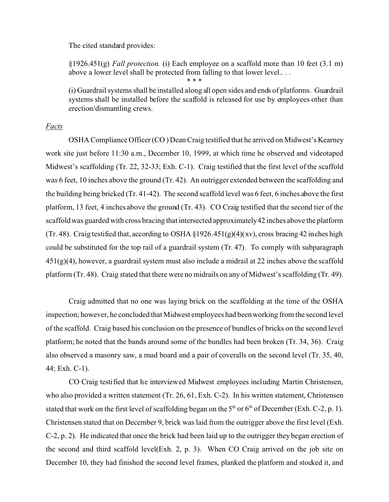The cited standard provides:

§1926.451(g) *Fall protection.* (i) Each employee on a scaffold more than 10 feet (3.1 m) above a lower level shall be protected from falling to that lower level.. . .

\* \* \*

(i) Guardrail systems shall be installed along all open sides and ends of platforms. Guardrail systems shall be installed before the scaffold is released for use by employees other than erection/dismantling crews.

## *Facts*

OSHA Compliance Officer (CO ) Dean Craig testified that he arrived on Midwest's Kearney work site just before 11:30 a.m., December 10, 1999, at which time he observed and videotaped Midwest's scaffolding (Tr. 22, 32-33; Exh. C-1). Craig testified that the first level of the scaffold was 6 feet, 10 inches above the ground (Tr. 42). An outrigger extended between the scaffolding and the building being bricked (Tr. 41-42). The second scaffold level was 6 feet, 6 inches above the first platform, 13 feet, 4 inches above the ground (Tr. 43). CO Craig testified that the second tier of the scaffold was guarded with cross bracing that intersected approximately42 inches above the platform (Tr. 48). Craig testified that, according to OSHA  $\S 1926.451(g)(4)(xy)$ , cross bracing 42 inches high could be substituted for the top rail of a guardrail system (Tr. 47). To comply with subparagraph  $451(g)(4)$ , however, a guardrail system must also include a midrail at 22 inches above the scaffold platform (Tr. 48). Craig stated that there were no midrails on any of Midwest's scaffolding (Tr. 49).

Craig admitted that no one was laying brick on the scaffolding at the time of the OSHA inspection; however, he concluded that Midwest employees had been working from the second level of the scaffold. Craig based his conclusion on the presence of bundles of bricks on the second level platform; he noted that the bands around some of the bundles had been broken (Tr. 34, 36). Craig also observed a masonry saw, a mud board and a pair of coveralls on the second level (Tr. 35, 40, 44; Exh. C-1).

CO Craig testified that he interviewed Midwest employees including Martin Christensen, who also provided a written statement (Tr. 26, 61, Exh. C-2). In his written statement, Christensen stated that work on the first level of scaffolding began on the  $5<sup>th</sup>$  or  $6<sup>th</sup>$  of December (Exh. C-2, p. 1). Christensen stated that on December 9, brick was laid from the outrigger above the first level (Exh. C-2, p. 2). He indicated that once the brick had been laid up to the outrigger they began erection of the second and third scaffold level(Exh. 2, p. 3). When CO Craig arrived on the job site on December 10, they had finished the second level frames, planked the platform and stocked it, and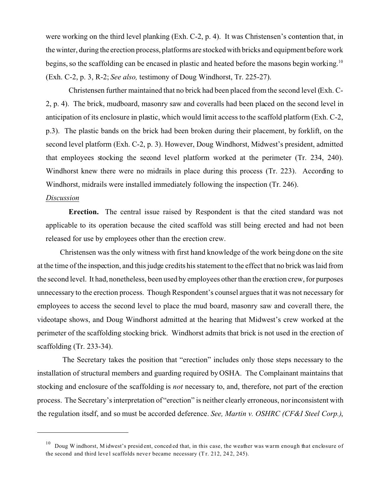were working on the third level planking (Exh. C-2, p. 4). It was Christensen's contention that, in the winter, during the erection process, platforms are stocked with bricks and equipment before work begins, so the scaffolding can be encased in plastic and heated before the masons begin working.<sup>10</sup> (Exh. C-2, p. 3, R-2; *See also,* testimony of Doug Windhorst, Tr. 225-27).

Christensen further maintained that no brick had been placed from the second level (Exh. C-2, p. 4). The brick, mudboard, masonry saw and coveralls had been placed on the second level in anticipation of its enclosure in plastic, which would limit access to the scaffold platform (Exh. C-2, p.3). The plastic bands on the brick had been broken during their placement, by forklift, on the second level platform (Exh. C-2, p. 3). However, Doug Windhorst, Midwest's president, admitted that employees stocking the second level platform worked at the perimeter (Tr. 234, 240). Windhorst knew there were no midrails in place during this process (Tr. 223). According to Windhorst, midrails were installed immediately following the inspection (Tr. 246).

## *Discussion*

**Erection.** The central issue raised by Respondent is that the cited standard was not applicable to its operation because the cited scaffold was still being erected and had not been released for use by employees other than the erection crew.

Christensen was the only witness with first hand knowledge of the work being done on the site at the time of the inspection, and this judge credits his statement to the effect that no brick was laid from the second level. It had, nonetheless, been used by employees other than the erection crew, for purposes unnecessary to the erection process. Though Respondent's counsel argues that it was not necessary for employees to access the second level to place the mud board, masonry saw and coverall there, the videotape shows, and Doug Windhorst admitted at the hearing that Midwest's crew worked at the perimeter of the scaffolding stocking brick. Windhorst admits that brick is not used in the erection of scaffolding (Tr. 233-34).

The Secretary takes the position that "erection" includes only those steps necessary to the installation of structural members and guarding required by OSHA. The Complainant maintains that stocking and enclosure of the scaffolding is *not* necessary to, and, therefore, not part of the erection process. The Secretary's interpretation of "erection" is neither clearly erroneous, nor inconsistent with the regulation itself, and so must be accorded deference. *See, Martin v. OSHRC (CF&I Steel Corp.)*,

<sup>&</sup>lt;sup>10</sup> Doug W indhorst, M idwest's president, conced ed that, in this case, the weather was warm enough that enclosure of the second and third level scaffolds never became necessary  $(Tr. 212, 242, 245)$ .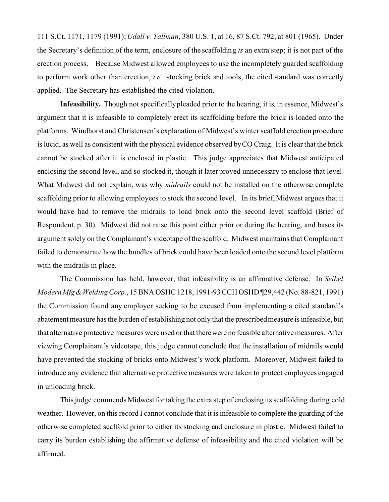111 S.Ct. 1171, 1179 (1991); *Udall v. Tallman*, 380 U.S. 1, at 16, 87 S.Ct. 792, at 801 (1965). Under the Secretary's definition of the term, enclosure of the scaffolding *is* an extra step; it is not part of the erection process. Because Midwest allowed employees to use the incompletely guarded scaffolding to perform work other than erection, *i.e.,* stocking brick and tools, the cited standard was correctly applied. The Secretary has established the cited violation.

**Infeasibility.** Though not specificallypleaded prior to the hearing, it is, in essence, Midwest's argument that it is infeasible to completely erect its scaffolding before the brick is loaded onto the platforms. Windhorst and Christensen's explanation of Midwest's winter scaffold erection procedure is lucid, as well as consistent with the physical evidence observed byCO Craig. It is clear that the brick cannot be stocked after it is enclosed in plastic. This judge appreciates that Midwest anticipated enclosing the second level, and so stocked it, though it later proved unnecessary to enclose that level. What Midwest did not explain, was why *midrails* could not be installed on the otherwise complete scaffolding prior to allowing employees to stock the second level. In its brief, Midwest argues that it would have had to remove the midrails to load brick onto the second level scaffold (Brief of Respondent, p. 30). Midwest did not raise this point either prior or during the hearing, and bases its argument solely on the Complainant's videotape of the scaffold. Midwest maintains that Complainant failed to demonstrate how the bundles of brick could have been loaded onto the second level platform with the midrails in place.

The Commission has held, however, that infeasibility is an affirmative defense. In *Seibel ModernMfg& Welding Corp.*, 15 BNA OSHC 1218, 1991-93 CCH OSHD ¶29,442 (No. 88-821, 1991) the Commission found any employer seeking to be excused from implementing a cited standard's abatement measure has the burden of establishing not only that the prescribed measure is infeasible, but that alternative protective measures were used or that there were no feasible alternative measures. After viewing Complainant's videotape, this judge cannot conclude that the installation of midrails would have prevented the stocking of bricks onto Midwest's work platform. Moreover, Midwest failed to introduce any evidence that alternative protective measures were taken to protect employees engaged in unloading brick.

This judge commends Midwest for taking the extra step of enclosing its scaffolding during cold weather. However, on this record I cannot conclude that it is infeasible to complete the guarding of the otherwise completed scaffold prior to either its stocking and enclosure in plastic. Midwest failed to carry its burden establishing the affirmative defense of infeasibility and the cited violation will be affirmed.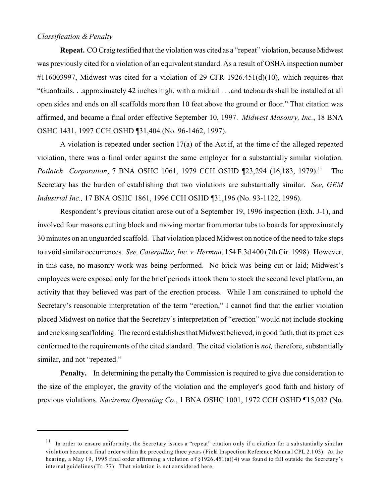## *Classification & Penalty*

**Repeat.** CO Craig testified that the violation was cited as a "repeat" violation, because Midwest was previously cited for a violation of an equivalent standard. As a result of OSHA inspection number  $\#116003997$ , Midwest was cited for a violation of 29 CFR 1926.451(d)(10), which requires that "Guardrails. . .approximately 42 inches high, with a midrail . . .and toeboards shall be installed at all open sides and ends on all scaffolds more than 10 feet above the ground or floor." That citation was affirmed, and became a final order effective September 10, 1997. *Midwest Masonry, Inc.*, 18 BNA OSHC 1431, 1997 CCH OSHD ¶31,404 (No. 96-1462, 1997).

A violation is repeated under section 17(a) of the Act if, at the time of the alleged repeated violation, there was a final order against the same employer for a substantially similar violation. *Potlatch Corporation*, 7 BNA OSHC 1061, 1979 CCH OSHD 123,294 (16,183, 1979).<sup>11</sup> The Secretary has the burden of establishing that two violations are substantially similar. *See, GEM Industrial Inc.,* 17 BNA OSHC 1861, 1996 CCH OSHD ¶31,196 (No. 93-1122, 1996).

Respondent's previous citation arose out of a September 19, 1996 inspection (Exh. J-1), and involved four masons cutting block and moving mortar from mortar tubs to boards for approximately 30 minutes on an unguarded scaffold. That violation placed Midwest on notice of the need to take steps to avoid similar occurrences. *See, Caterpillar, Inc. v. Herman*, 154 F.3d 400 (7th Cir. 1998). However, in this case, no masonry work was being performed. No brick was being cut or laid; Midwest's employees were exposed only for the brief periods it took them to stock the second level platform, an activity that they believed was part of the erection process. While I am constrained to uphold the Secretary's reasonable interpretation of the term "erection," I cannot find that the earlier violation placed Midwest on notice that the Secretary's interpretation of "erection" would not include stocking and enclosing scaffolding. The record establishes that Midwest believed, in good faith, that its practices conformed to the requirements of the cited standard. The cited violation is *not,* therefore, substantially similar, and not "repeated."

**Penalty.** In determining the penalty the Commission is required to give due consideration to the size of the employer, the gravity of the violation and the employer's good faith and history of previous violations. *Nacirema Operating Co*., 1 BNA OSHC 1001, 1972 CCH OSHD ¶15,032 (No.

 $11$  In order to ensure uniformity, the Secretary issues a "repeat" citation only if a citation for a substantially similar violation became a final order within the preceding three years (Field Inspection Reference Manua l CPL 2.1 03). At the hearing, a May 19, 1995 final order affirming a violation of §1926.451(a)(4) was found to fall outside the Secretary's internal guidelines (Tr. 77). That violation is not considered here.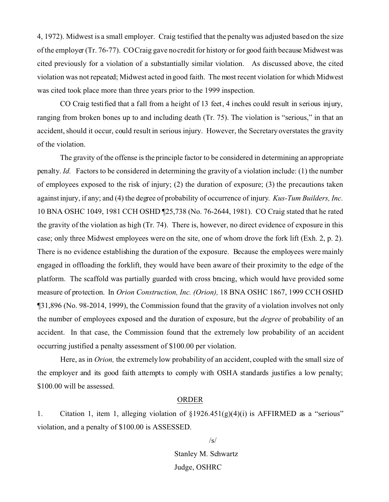4, 1972). Midwest is a small employer. Craig testified that the penalty was adjusted based on the size of the employer (Tr. 76-77). CO Craig gave no credit for history or for good faith because Midwest was cited previously for a violation of a substantially similar violation. As discussed above, the cited violation was not repeated; Midwest acted in good faith. The most recent violation for which Midwest was cited took place more than three years prior to the 1999 inspection.

CO Craig testified that a fall from a height of 13 feet, 4 inches could result in serious injury, ranging from broken bones up to and including death (Tr. 75). The violation is "serious," in that an accident, should it occur, could result in serious injury. However, the Secretary overstates the gravity of the violation.

The gravity of the offense is the principle factor to be considered in determining an appropriate penalty. *Id.* Factors to be considered in determining the gravity of a violation include: (1) the number of employees exposed to the risk of injury; (2) the duration of exposure; (3) the precautions taken against injury, if any; and (4) the degree of probability of occurrence of injury. *Kus-Tum Builders, Inc.*  10 BNA OSHC 1049, 1981 CCH OSHD ¶25,738 (No. 76-2644, 1981). CO Craig stated that he rated the gravity of the violation as high (Tr. 74). There is, however, no direct evidence of exposure in this case; only three Midwest employees were on the site, one of whom drove the fork lift (Exh. 2, p. 2). There is no evidence establishing the duration of the exposure. Because the employees were mainly engaged in offloading the forklift, they would have been aware of their proximity to the edge of the platform. The scaffold was partially guarded with cross bracing, which would have provided some measure of protection. In *Orion Construction, Inc. (Orion),* 18 BNA OSHC 1867, 1999 CCH OSHD ¶31,896 (No. 98-2014, 1999), the Commission found that the gravity of a violation involves not only the number of employees exposed and the duration of exposure, but the *degree* of probability of an accident. In that case, the Commission found that the extremely low probability of an accident occurring justified a penalty assessment of \$100.00 per violation.

Here, as in *Orion,* the extremely low probability of an accident, coupled with the small size of the employer and its good faith attempts to comply with OSHA standards justifies a low penalty; \$100.00 will be assessed.

#### ORDER

1. Citation 1, item 1, alleging violation of §1926.451(g)(4)(i) is AFFIRMED as a "serious" violation, and a penalty of \$100.00 is ASSESSED.

> Stanley M. Schwartz Judge, OSHRC

 $/s/$